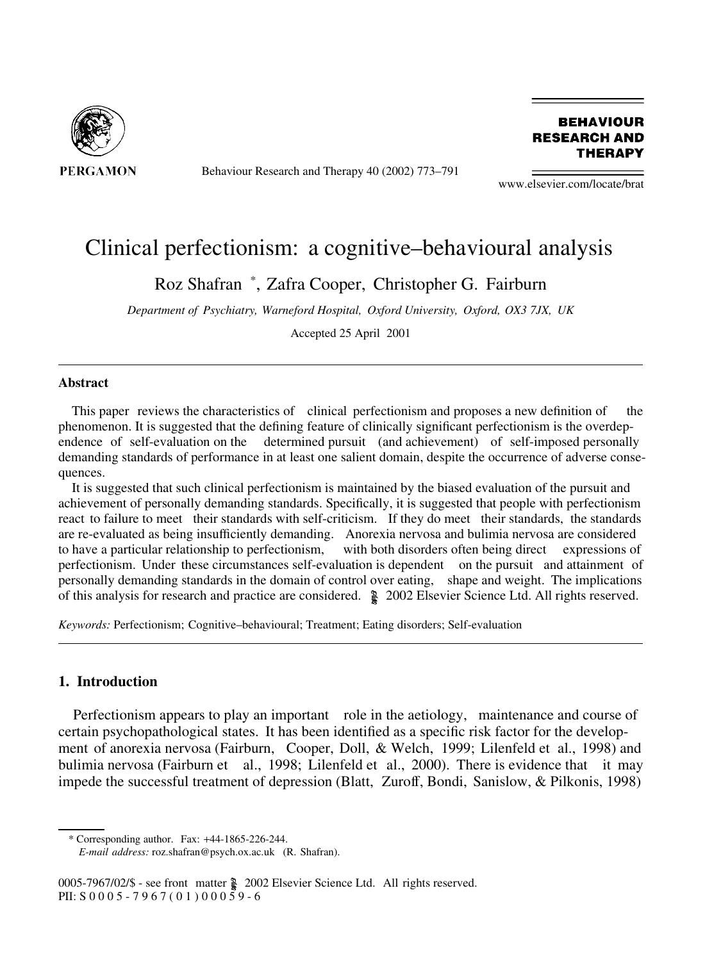

Behaviour Research and Therapy 40 (2002) 773–791

**BEHAVIOUR RESEARCH AND THERAPY** 

www.elsevier.com/locate/brat

# Clinical perfectionism: a cognitive–behavioural analysis

Roz Shafran \* , Zafra Cooper, Christopher G. Fairburn

*Department of Psychiatry, Warneford Hospital, Oxford University, Oxford, OX3 7JX, UK*

Accepted 25 April 2001

### **Abstract**

This paper reviews the characteristics of clinical perfectionism and proposes a new definition of the phenomenon. It is suggested that the defining feature of clinically significant perfectionism is the overdependence of self-evaluation on the determined pursuit (and achievement) of self-imposed personally determined pursuit (and achievement) of self-imposed personally demanding standards of performance in at least one salient domain, despite the occurrence of adverse consequences.

It is suggested that such clinical perfectionism is maintained by the biased evaluation of the pursuit and achievement of personally demanding standards. Specifically, it is suggested that people with perfectionism react to failure to meet their standards with self-criticism. If they do meet their standards, the standards are re-evaluated as being insufficiently demanding. Anorexia nervosa and bulimia nervosa are considered with both disorders often being direct expressions of perfectionism. Under these circumstances self-evaluation is dependent on the pursuit and attainment of personally demanding standards in the domain of control over eating, shape and weight. The implications of this analysis for research and practice are considered. 2002 Elsevier Science Ltd. All rights reserved.

*Keywords:* Perfectionism; Cognitive–behavioural; Treatment; Eating disorders; Self-evaluation

# **1. Introduction**

Perfectionism appears to play an important role in the aetiology, maintenance and course of certain psychopathological states. It has been identified as a specific risk factor for the development of anorexia nervosa (Fairburn, Cooper, Doll, & Welch, 1999; Lilenfeld et al., 1998) and bulimia nervosa (Fairburn et al., 1998; Lilenfeld et al., 2000). There is evidence that it may impede the successful treatment of depression (Blatt, Zuroff, Bondi, Sanislow, & Pilkonis, 1998)

<sup>\*</sup> Corresponding author. Fax: +44-1865-226-244.

*E-mail address:* roz.shafran@psych.ox.ac.uk (R. Shafran).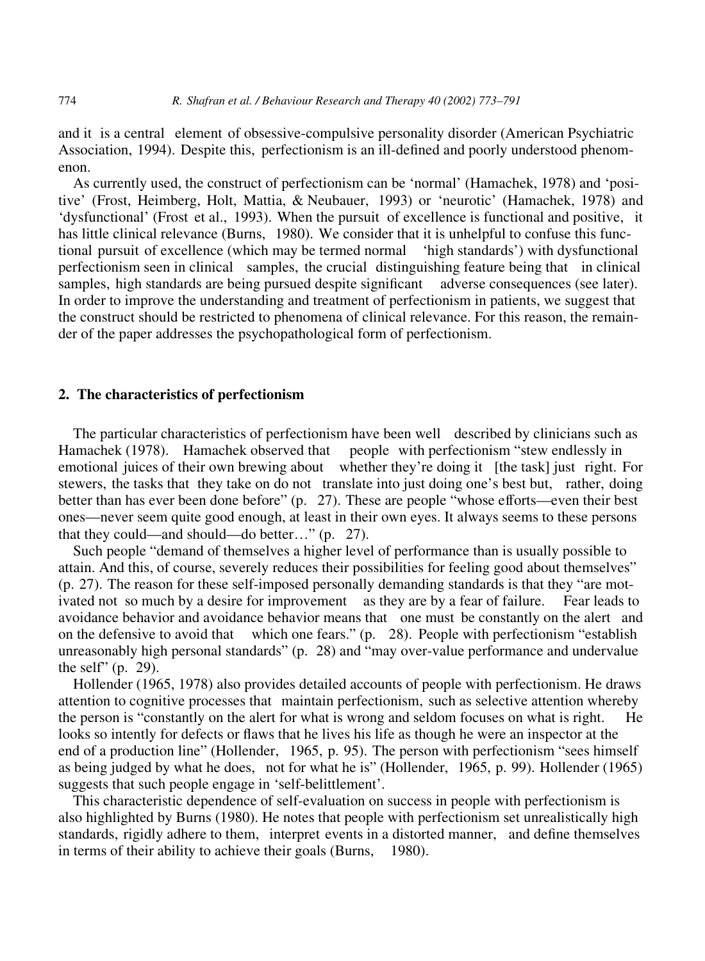and it is a central element of obsessive-compulsive personality disorder (American Psychiatric Association, 1994). Despite this, perfectionism is an ill-defined and poorly understood phenomenon.

As currently used, the construct of perfectionism can be 'normal' (Hamachek, 1978) and 'positive' (Frost, Heimberg, Holt, Mattia, & Neubauer, 1993) or 'neurotic' (Hamachek, 1978) and 'dysfunctional' (Frost et al., 1993). When the pursuit of excellence is functional and positive, it has little clinical relevance (Burns, 1980). We consider that it is unhelpful to confuse this functional pursuit of excellence (which may be termed normal 'high standards') with dysfunctional perfectionism seen in clinical samples, the crucial distinguishing feature being that in clinical samples, high standards are being pursued despite significant adverse consequences (see later). In order to improve the understanding and treatment of perfectionism in patients, we suggest that the construct should be restricted to phenomena of clinical relevance. For this reason, the remainder of the paper addresses the psychopathological form of perfectionism.

# **2. The characteristics of perfectionism**

The particular characteristics of perfectionism have been well described by clinicians such as amachek (1978). Hamachek observed that people with perfectionism "stew endlessly in Hamachek (1978). Hamachek observed that emotional juices of their own brewing about whether they're doing it [the task] just right. For stewers, the tasks that they take on do not translate into just doing one's best but, rather, doing better than has ever been done before" (p. 27). These are people "whose efforts—even their best ones—never seem quite good enough, at least in their own eyes. It always seems to these persons that they could—and should—do better…" (p. 27).

Such people "demand of themselves a higher level of performance than is usually possible to attain. And this, of course, severely reduces their possibilities for feeling good about themselves" (p. 27). The reason for these self-imposed personally demanding standards is that they "are motivated not so much by a desire for improvement as they are by a fear of failure. Fear leads to avoidance behavior and avoidance behavior means that one must be constantly on the alert and on the defensive to avoid that which one fears." (p. 28). People with perfectionism "establish unreasonably high personal standards" (p. 28) and "may over-value performance and undervalue the self"  $(p. 29)$ .

Hollender (1965, 1978) also provides detailed accounts of people with perfectionism. He draws attention to cognitive processes that maintain perfectionism, such as selective attention whereby the person is "constantly on the alert for what is wrong and seldom focuses on what is right. He looks so intently for defects or flaws that he lives his life as though he were an inspector at the end of a production line" (Hollender, 1965, p. 95). The person with perfectionism "sees himself as being judged by what he does, not for what he is" (Hollender, 1965, p. 99). Hollender (1965) suggests that such people engage in 'self-belittlement'.

This characteristic dependence of self-evaluation on success in people with perfectionism is also highlighted by Burns (1980). He notes that people with perfectionism set unrealistically high standards, rigidly adhere to them, interpret events in a distorted manner, and define themselves in terms of their ability to achieve their goals (Burns, 1980).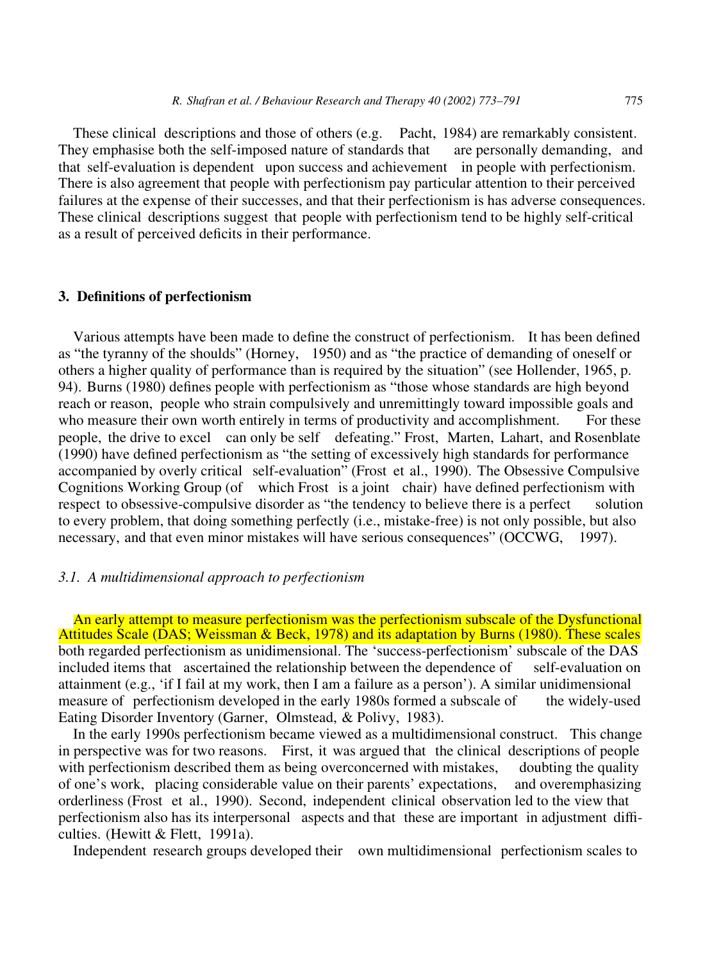These clinical descriptions and those of others (e.g. Pacht, 1984) are remarkably consistent. They emphasise both the self-imposed nature of standards that are personally demanding, and that self-evaluation is dependent upon success and achievement in people with perfectionism. There is also agreement that people with perfectionism pay particular attention to their perceived failures at the expense of their successes, and that their perfectionism is has adverse consequences. These clinical descriptions suggest that people with perfectionism tend to be highly self-critical as a result of perceived deficits in their performance.

## **3. Definitions of perfectionism**

Various attempts have been made to define the construct of perfectionism. It has been defined as "the tyranny of the shoulds" (Horney, 1950) and as "the practice of demanding of oneself or others a higher quality of performance than is required by the situation" (see Hollender, 1965, p. 94). Burns (1980) defines people with perfectionism as "those whose standards are high beyond reach or reason, people who strain compulsively and unremittingly toward impossible goals and who measure their own worth entirely in terms of productivity and accomplishment. For these people, the drive to excel can only be self defeating." Frost, Marten, Lahart, and Rosenblate (1990) have defined perfectionism as "the setting of excessively high standards for performance accompanied by overly critical self-evaluation" (Frost et al., 1990). The Obsessive Compulsive Cognitions Working Group (of which Frost is a joint chair) have defined perfectionism with respect to obsessive-compulsive disorder as "the tendency to believe there is a perfect solution to every problem, that doing something perfectly (i.e., mistake-free) is not only possible, but also necessary, and that even minor mistakes will have serious consequences" (OCCWG, 1997).

#### *3.1. A multidimensional approach to perfectionism*

An early attempt to measure perfectionism was the perfectionism subscale of the Dysfunctional Attitudes Scale (DAS; Weissman & Beck, 1978) and its adaptation by Burns (1980). These scales both regarded perfectionism as unidimensional. The 'success-perfectionism' subscale of the DAS included items that ascertained the relationship between the dependence of self-evaluation on attainment (e.g., 'if I fail at my work, then I am a failure as a person'). A similar unidimensional measure of perfectionism developed in the early 1980s formed a subscale of the widely-used Eating Disorder Inventory (Garner, Olmstead, & Polivy, 1983).

In the early 1990s perfectionism became viewed as a multidimensional construct. This change in perspective was for two reasons. First, it was argued that the clinical descriptions of people with perfectionism described them as being overconcerned with mistakes, doubting the quality of one's work, placing considerable value on their parents' expectations, and overemphasizing of one's work, placing considerable value on their parents' expectations, orderliness (Frost et al., 1990). Second, independent clinical observation led to the view that perfectionism also has its interpersonal aspects and that these are important in adjustment difficulties. (Hewitt & Flett, 1991a).

Independent research groups developed their own multidimensional perfectionism scales to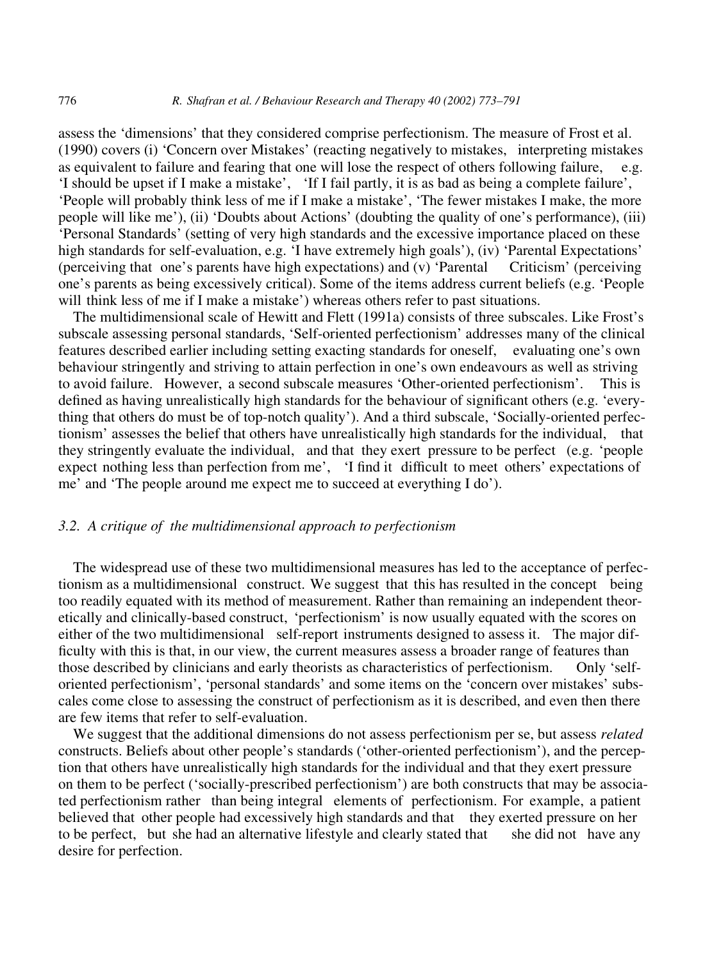assess the 'dimensions' that they considered comprise perfectionism. The measure of Frost et al. (1990) covers (i) 'Concern over Mistakes' (reacting negatively to mistakes, interpreting mistakes as equivalent to failure and fearing that one will lose the respect of others following failure, e.g. 'I should be upset if I make a mistake', 'If I fail partly, it is as bad as being a complete failure', 'People will probably think less of me if I make a mistake', 'The fewer mistakes I make, the more people will like me'), (ii) 'Doubts about Actions' (doubting the quality of one's performance), (iii) 'Personal Standards' (setting of very high standards and the excessive importance placed on these high standards for self-evaluation, e.g. 'I have extremely high goals'), (iv) 'Parental Expectations' (perceiving that one's parents have high expectations) and (v) 'Parental Criticism' (perceiving (perceiving that one's parents have high expectations) and  $(v)$  'Parental one's parents as being excessively critical). Some of the items address current beliefs (e.g. 'People will think less of me if I make a mistake') whereas others refer to past situations.

The multidimensional scale of Hewitt and Flett (1991a) consists of three subscales. Like Frost's subscale assessing personal standards, 'Self-oriented perfectionism' addresses many of the clinical features described earlier including setting exacting standards for oneself, evaluating one's own behaviour stringently and striving to attain perfection in one's own endeavours as well as striving<br>to avoid failure. However, a second subscale measures 'Other-oriented perfectionism'. This is to avoid failure. However, a second subscale measures 'Other-oriented perfectionism'. defined as having unrealistically high standards for the behaviour of significant others (e.g. 'everything that others do must be of top-notch quality'). And a third subscale, 'Socially-oriented perfectionism' assesses the belief that others have unrealistically high standards for the individual, that they stringently evaluate the individual, and that they exert pressure to be perfect (e.g. 'people expect nothing less than perfection from me', 'I find it difficult to meet others' expectations of me' and 'The people around me expect me to succeed at everything I do').

## *3.2. A critique of the multidimensional approach to perfectionism*

The widespread use of these two multidimensional measures has led to the acceptance of perfectionism as a multidimensional construct. We suggest that this has resulted in the concept being too readily equated with its method of measurement. Rather than remaining an independent theoretically and clinically-based construct, 'perfectionism' is now usually equated with the scores on either of the two multidimensional self-report instruments designed to assess it. The major difficulty with this is that, in our view, the current measures assess a broader range of features than those described by clinicians and early theorists as characteristics of perfectionism. Only 'selforiented perfectionism', 'personal standards' and some items on the 'concern over mistakes' subscales come close to assessing the construct of perfectionism as it is described, and even then there are few items that refer to self-evaluation.

We suggest that the additional dimensions do not assess perfectionism per se, but assess *related* constructs. Beliefs about other people's standards ('other-oriented perfectionism'), and the perception that others have unrealistically high standards for the individual and that they exert pressure on them to be perfect ('socially-prescribed perfectionism') are both constructs that may be associated perfectionism rather than being integral elements of perfectionism. For example, a patient believed that other people had excessively high standards and that they exerted pressure on her to be perfect, but she had an alternative lifestyle and clearly stated that she did not have any desire for perfection.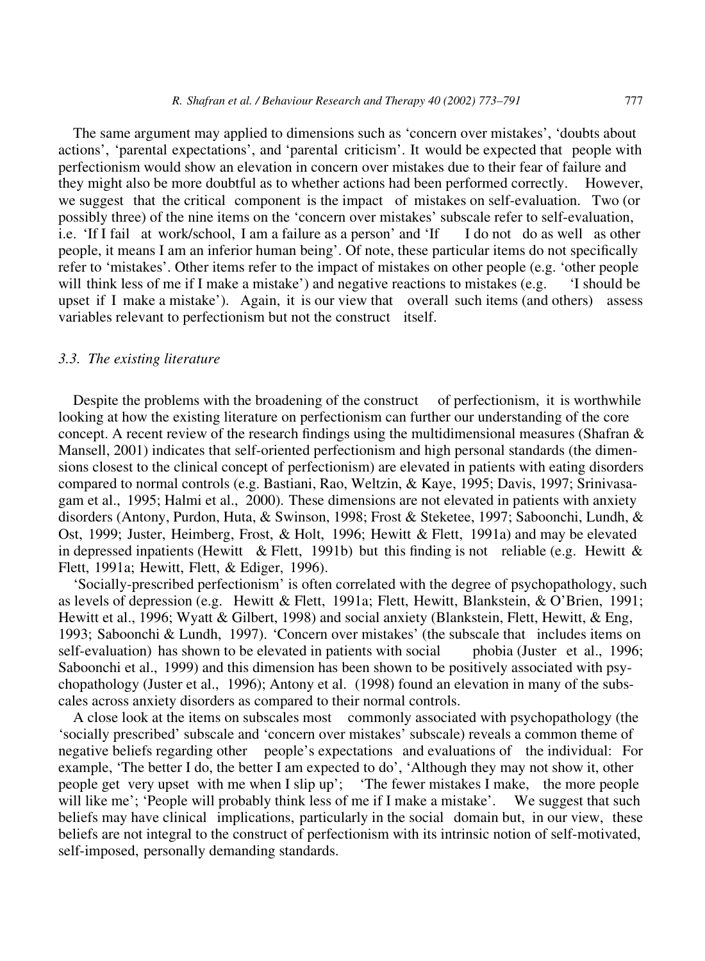The same argument may applied to dimensions such as 'concern over mistakes', 'doubts about actions', 'parental expectations', and 'parental criticism'. It would be expected that people with perfectionism would show an elevation in concern over mistakes due to their fear of failure and they might also be more doubtful as to whether actions had been performed correctly. However, we suggest that the critical component is the impact of mistakes on self-evaluation. Two (or possibly three) of the nine items on the 'concern over mistakes' subscale refer to self-evaluation, i.e. 'If I fail at work/school, I am a failure as a person' and 'If I do not do as well as other people, it means I am an inferior human being'. Of note, these particular items do not specifically refer to 'mistakes'. Other items refer to the impact of mistakes on other people (e.g. 'other people will think less of me if I make a mistake') and negative reactions to mistakes (e.g. 'I should be upset if I make a mistake'). Again, it is our view that overall such items (and others) assess variables relevant to perfectionism but not the construct itself.

#### *3.3. The existing literature*

Despite the problems with the broadening of the construct of perfectionism, it is worthwhile looking at how the existing literature on perfectionism can further our understanding of the core concept. A recent review of the research findings using the multidimensional measures (Shafran & Mansell, 2001) indicates that self-oriented perfectionism and high personal standards (the dimensions closest to the clinical concept of perfectionism) are elevated in patients with eating disorders compared to normal controls (e.g. Bastiani, Rao, Weltzin, & Kaye, 1995; Davis, 1997; Srinivasagam et al., 1995; Halmi et al., 2000). These dimensions are not elevated in patients with anxiety disorders (Antony, Purdon, Huta, & Swinson, 1998; Frost & Steketee, 1997; Saboonchi, Lundh, & Ost, 1999; Juster, Heimberg, Frost, & Holt, 1996; Hewitt & Flett, 1991a) and may be elevated in depressed inpatients (Hewitt & Flett, 1991b) but this finding is not reliable (e.g. Hewitt  $\&$ Flett, 1991a; Hewitt, Flett, & Ediger, 1996).

'Socially-prescribed perfectionism' is often correlated with the degree of psychopathology, such as levels of depression (e.g. Hewitt & Flett, 1991a; Flett, Hewitt, Blankstein, & O'Brien, 1991; Hewitt et al., 1996; Wyatt & Gilbert, 1998) and social anxiety (Blankstein, Flett, Hewitt, & Eng, 1993; Saboonchi & Lundh, 1997). 'Concern over mistakes' (the subscale that includes items on self-evaluation) has shown to be elevated in patients with social phobia (Juster et al., 1996; Saboonchi et al., 1999) and this dimension has been shown to be positively associated with psychopathology (Juster et al., 1996); Antony et al. (1998) found an elevation in many of the subscales across anxiety disorders as compared to their normal controls.

A close look at the items on subscales most commonly associated with psychopathology (the 'socially prescribed' subscale and 'concern over mistakes' subscale) reveals a common theme of negative beliefs regarding other people's expectations and evaluations of the individual: For example, 'The better I do, the better I am expected to do', 'Although they may not show it, other people get very upset with me when I slip up'; 'The fewer mistakes I make, the more people will like me'; 'People will probably think less of me if I make a mistake'. We suggest that such beliefs may have clinical implications, particularly in the social domain but, in our view, these beliefs are not integral to the construct of perfectionism with its intrinsic notion of self-motivated, self-imposed, personally demanding standards.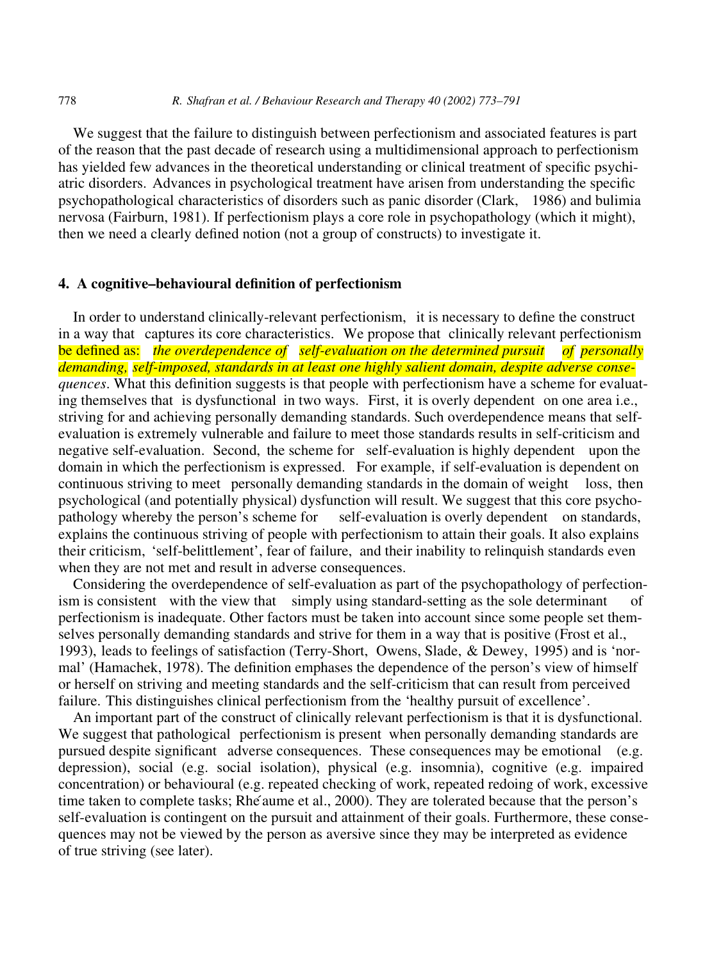We suggest that the failure to distinguish between perfectionism and associated features is part of the reason that the past decade of research using a multidimensional approach to perfectionism has yielded few advances in the theoretical understanding or clinical treatment of specific psychiatric disorders. Advances in psychological treatment have arisen from understanding the specific psychopathological characteristics of disorders such as panic disorder (Clark, 1986) and bulimia nervosa (Fairburn, 1981). If perfectionism plays a core role in psychopathology (which it might), then we need a clearly defined notion (not a group of constructs) to investigate it.

# **4. A cognitive–behavioural definition of perfectionism**

In order to understand clinically-relevant perfectionism, it is necessary to define the construct in a way that captures its core characteristics. We propose that clinically relevant perfectionism be defined as: *the overdependence of self-evaluation on the determined pursuit of personally demanding, self-imposed, standards in at least one highly salient domain, despite adverse consequences*. What this definition suggests is that people with perfectionism have a scheme for evaluating themselves that is dysfunctional in two ways. First, it is overly dependent on one area i.e., striving for and achieving personally demanding standards. Such overdependence means that selfevaluation is extremely vulnerable and failure to meet those standards results in self-criticism and negative self-evaluation. Second, the scheme for self-evaluation is highly dependent upon the domain in which the perfectionism is expressed. For example, if self-evaluation is dependent on continuous striving to meet personally demanding standards in the domain of weight loss, then psychological (and potentially physical) dysfunction will result. We suggest that this core psycho-<br>pathology whereby the person's scheme for self-evaluation is overly dependent on standards, self-evaluation is overly dependent on standards, explains the continuous striving of people with perfectionism to attain their goals. It also explains their criticism, 'self-belittlement', fear of failure, and their inability to relinquish standards even when they are not met and result in adverse consequences.

Considering the overdependence of self-evaluation as part of the psychopathology of perfectionism is consistent with the view that simply using standard-setting as the sole determinant of perfectionism is inadequate. Other factors must be taken into account since some people set themselves personally demanding standards and strive for them in a way that is positive (Frost et al., 1993), leads to feelings of satisfaction (Terry-Short, Owens, Slade, & Dewey, 1995) and is 'normal' (Hamachek, 1978). The definition emphases the dependence of the person's view of himself or herself on striving and meeting standards and the self-criticism that can result from perceived failure. This distinguishes clinical perfectionism from the 'healthy pursuit of excellence'.

An important part of the construct of clinically relevant perfectionism is that it is dysfunctional. We suggest that pathological perfectionism is present when personally demanding standards are pursued despite significant adverse consequences. These consequences may be emotional (e.g. depression), social (e.g. social isolation), physical (e.g. insomnia), cognitive (e.g. impaired concentration) or behavioural (e.g. repeated checking of work, repeated redoing of work, excessive time taken to complete tasks; Rhe´aume et al., 2000). They are tolerated because that the person's self-evaluation is contingent on the pursuit and attainment of their goals. Furthermore, these consequences may not be viewed by the person as aversive since they may be interpreted as evidence of true striving (see later).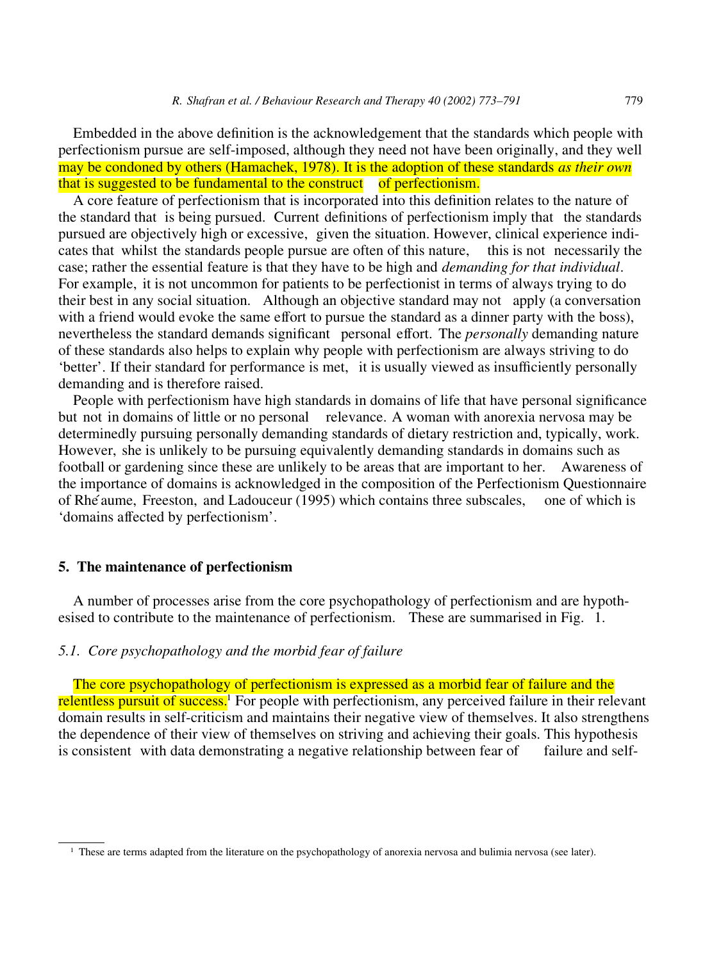Embedded in the above definition is the acknowledgement that the standards which people with perfectionism pursue are self-imposed, although they need not have been originally, and they well may be condoned by others (Hamachek, 1978). It is the adoption of these standards *as their own* that is suggested to be fundamental to the construct of perfectionism.

A core feature of perfectionism that is incorporated into this definition relates to the nature of the standard that is being pursued. Current definitions of perfectionism imply that the standards pursued are objectively high or excessive, given the situation. However, clinical experience indicates that whilst the standards people pursue are often of this nature, this is not necessarily the cates that whilst the standards people pursue are often of this nature, case; rather the essential feature is that they have to be high and *demanding for that individual*. For example, it is not uncommon for patients to be perfectionist in terms of always trying to do their best in any social situation. Although an objective standard may not apply (a conversation with a friend would evoke the same effort to pursue the standard as a dinner party with the boss), nevertheless the standard demands significant personal effort. The *personally* demanding nature of these standards also helps to explain why people with perfectionism are always striving to do 'better'. If their standard for performance is met, it is usually viewed as insufficiently personally demanding and is therefore raised.

People with perfectionism have high standards in domains of life that have personal significance but not in domains of little or no personal relevance. A woman with anorexia nervosa may be determinedly pursuing personally demanding standards of dietary restriction and, typically, work. However, she is unlikely to be pursuing equivalently demanding standards in domains such as football or gardening since these are unlikely to be areas that are important to her. Awareness of the importance of domains is acknowledged in the composition of the Perfectionism Questionnaire of Rhe´aume, Freeston, and Ladouceur (1995) which contains three subscales, one of which is 'domains affected by perfectionism'.

#### **5. The maintenance of perfectionism**

A number of processes arise from the core psychopathology of perfectionism and are hypothesised to contribute to the maintenance of perfectionism. These are summarised in Fig. 1.

#### *5.1. Core psychopathology and the morbid fear of failure*

The core psychopathology of perfectionism is expressed as a morbid fear of failure and the relentless pursuit of success.<sup>1</sup> For people with perfectionism, any perceived failure in their relevant domain results in self-criticism and maintains their negative view of themselves. It also strengthens the dependence of their view of themselves on striving and achieving their goals. This hypothesis is consistent with data demonstrating a negative relationship between fear of failure and selfis consistent with data demonstrating a negative relationship between fear of

<sup>&</sup>lt;sup>1</sup> These are terms adapted from the literature on the psychopathology of anorexia nervosa and bulimia nervosa (see later).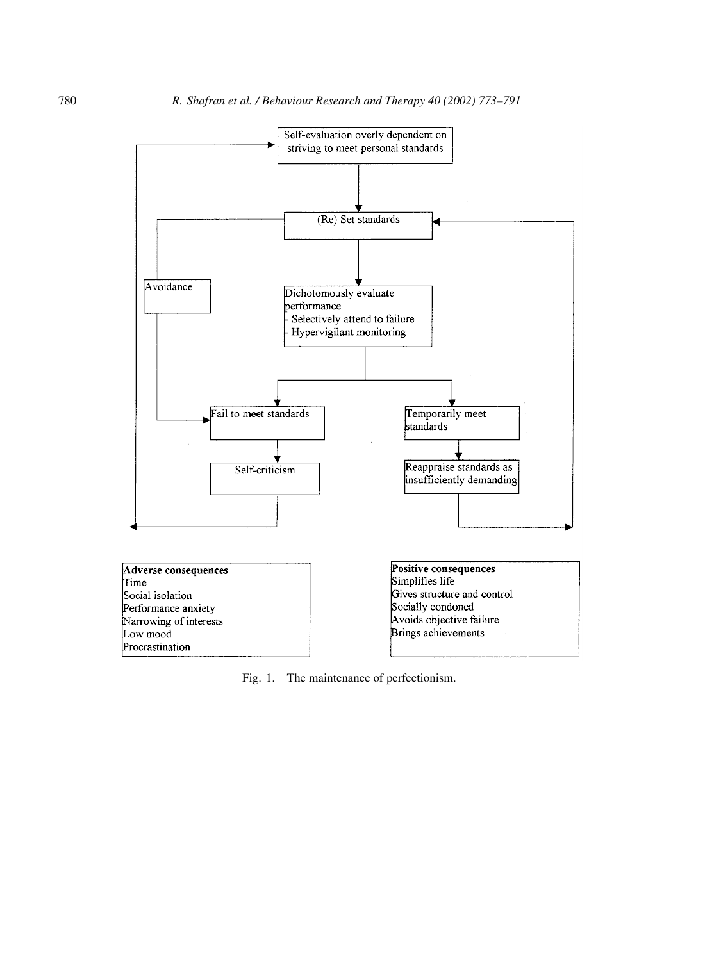

Fig. 1. The maintenance of perfectionism.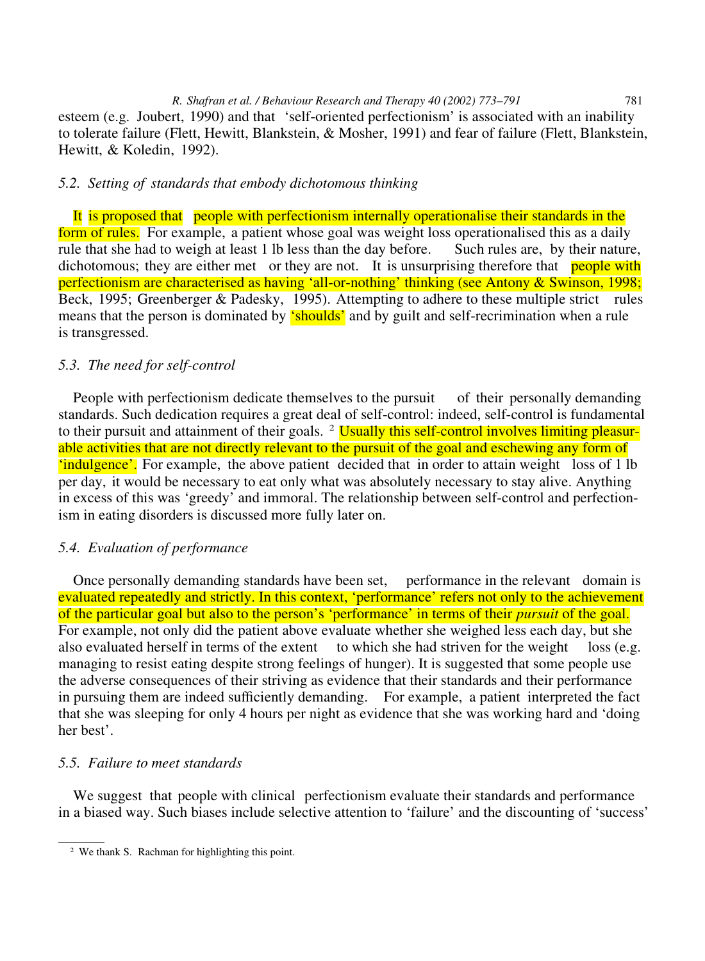# *R. Shafran et al. / Behaviour Research and Therapy 40 (2002) 773–791* 781

esteem (e.g. Joubert, 1990) and that 'self-oriented perfectionism' is associated with an inability to tolerate failure (Flett, Hewitt, Blankstein, & Mosher, 1991) and fear of failure (Flett, Blankstein, Hewitt, & Koledin, 1992).

## *5.2. Setting of standards that embody dichotomous thinking*

It is proposed that people with perfectionism internally operationalise their standards in the form of rules. For example, a patient whose goal was weight loss operationalised this as a daily rule that she had to weigh at least 1 lb less than the day before. Such rules are, by their nature. rule that she had to weigh at least 1 lb less than the day before. dichotomous; they are either met or they are not. It is unsurprising therefore that people with perfectionism are characterised as having 'all-or-nothing' thinking (see Antony & Swinson, 1998; Beck, 1995; Greenberger & Padesky, 1995). Attempting to adhere to these multiple strict rules means that the person is dominated by **'shoulds'** and by guilt and self-recrimination when a rule is transgressed.

#### *5.3. The need for self-control*

People with perfectionism dedicate themselves to the pursuit of their personally demanding standards. Such dedication requires a great deal of self-control: indeed, self-control is fundamental to their pursuit and attainment of their goals. <sup>2</sup> Usually this self-control involves limiting pleasurable activities that are not directly relevant to the pursuit of the goal and eschewing any form of 'indulgence'. For example, the above patient decided that in order to attain weight loss of 1 lb per day, it would be necessary to eat only what was absolutely necessary to stay alive. Anything in excess of this was 'greedy' and immoral. The relationship between self-control and perfectionism in eating disorders is discussed more fully later on.

#### *5.4. Evaluation of performance*

Once personally demanding standards have been set, performance in the relevant domain is evaluated repeatedly and strictly. In this context, 'performance' refers not only to the achievement of the particular goal but also to the person's 'performance' in terms of their *pursuit* of the goal. For example, not only did the patient above evaluate whether she weighed less each day, but she also evaluated herself in terms of the extent to which she had striven for the weight loss (e.g. managing to resist eating despite strong feelings of hunger). It is suggested that some people use the adverse consequences of their striving as evidence that their standards and their performance in pursuing them are indeed sufficiently demanding. For example, a patient interpreted the fact that she was sleeping for only 4 hours per night as evidence that she was working hard and 'doing her best'.

# *5.5. Failure to meet standards*

We suggest that people with clinical perfectionism evaluate their standards and performance in a biased way. Such biases include selective attention to 'failure' and the discounting of 'success'

<sup>2</sup> We thank S. Rachman for highlighting this point.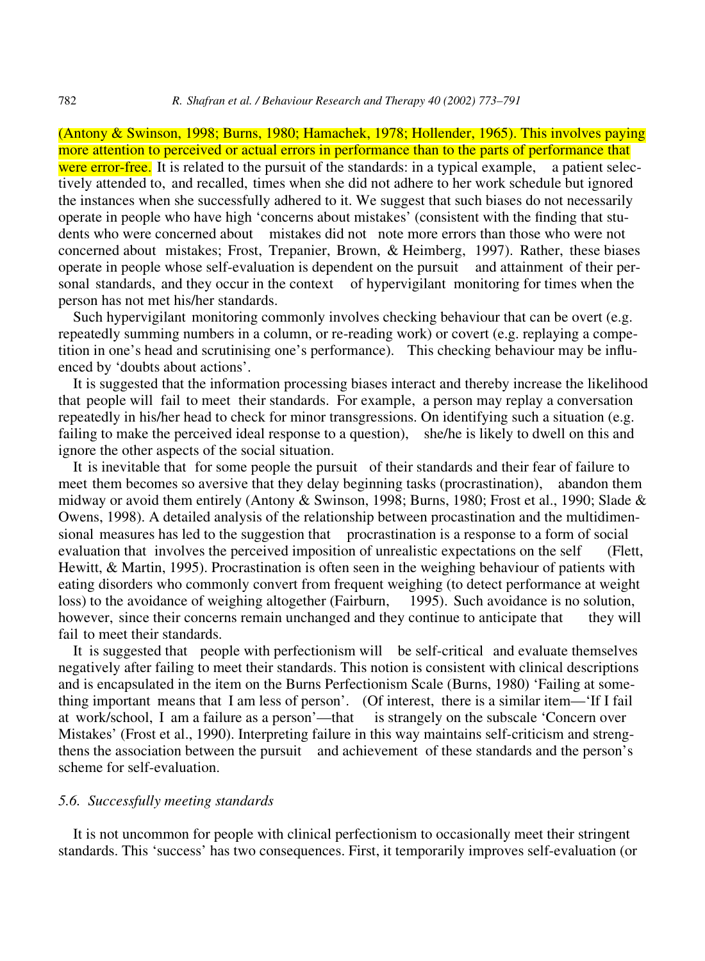(Antony & Swinson, 1998; Burns, 1980; Hamachek, 1978; Hollender, 1965). This involves paying more attention to perceived or actual errors in performance than to the parts of performance that<br>were error-free. It is related to the pursuit of the standards: in a typical example, a patient selecwere error-free. It is related to the pursuit of the standards: in a typical example, tively attended to, and recalled, times when she did not adhere to her work schedule but ignored the instances when she successfully adhered to it. We suggest that such biases do not necessarily operate in people who have high 'concerns about mistakes' (consistent with the finding that students who were concerned about mistakes did not note more errors than those who were not concerned about mistakes; Frost, Trepanier, Brown, & Heimberg, 1997). Rather, these biases operate in people whose self-evaluation is dependent on the pursuit and attainment of their personal standards, and they occur in the context of hypervigilant monitoring for times when the person has not met his/her standards.

Such hypervigilant monitoring commonly involves checking behaviour that can be overt (e.g. repeatedly summing numbers in a column, or re-reading work) or covert (e.g. replaying a competition in one's head and scrutinising one's performance). This checking behaviour may be influenced by 'doubts about actions'.

It is suggested that the information processing biases interact and thereby increase the likelihood that people will fail to meet their standards. For example, a person may replay a conversation repeatedly in his/her head to check for minor transgressions. On identifying such a situation (e.g. failing to make the perceived ideal response to a question), she/he is likely to dwell on this and ignore the other aspects of the social situation.

It is inevitable that for some people the pursuit of their standards and their fear of failure to meet them becomes so aversive that they delay beginning tasks (procrastination), abandon them midway or avoid them entirely (Antony & Swinson, 1998; Burns, 1980; Frost et al., 1990; Slade & Owens, 1998). A detailed analysis of the relationship between procastination and the multidimensional measures has led to the suggestion that procrastination is a response to a form of social evaluation that involves the perceived imposition of unrealistic expectations on the self (Flett, Hewitt, & Martin, 1995). Procrastination is often seen in the weighing behaviour of patients with eating disorders who commonly convert from frequent weighing (to detect performance at weight loss) to the avoidance of weighing altogether (Fairburn, 1995). Such avoidance is no solution, however, since their concerns remain unchanged and they continue to anticipate that they will fail to meet their standards.

It is suggested that people with perfectionism will be self-critical and evaluate themselves negatively after failing to meet their standards. This notion is consistent with clinical descriptions and is encapsulated in the item on the Burns Perfectionism Scale (Burns, 1980) 'Failing at something important means that I am less of person'. (Of interest, there is a similar item—'If I fail at work/school, I am a failure as a person'—that Mistakes' (Frost et al., 1990). Interpreting failure in this way maintains self-criticism and strengthens the association between the pursuit and achievement of these standards and the person's scheme for self-evaluation.

#### *5.6. Successfully meeting standards*

It is not uncommon for people with clinical perfectionism to occasionally meet their stringent standards. This 'success' has two consequences. First, it temporarily improves self-evaluation (or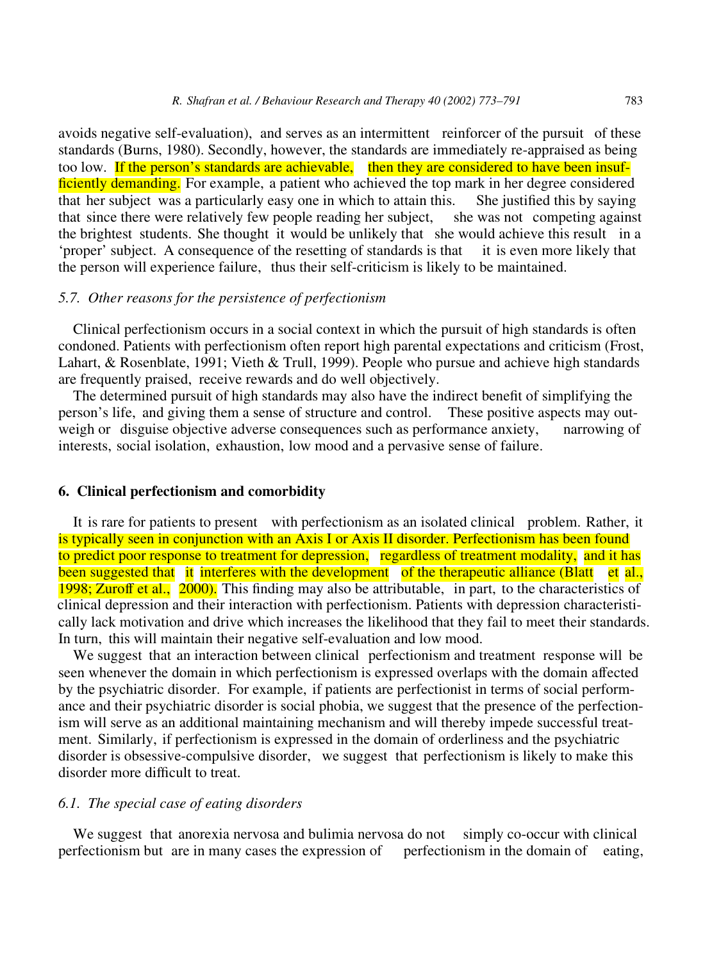avoids negative self-evaluation), and serves as an intermittent reinforcer of the pursuit of these standards (Burns, 1980). Secondly, however, the standards are immediately re-appraised as being too low. If the person's standards are achievable, then they are considered to have been insufficiently demanding. For example, a patient who achieved the top mark in her degree considered that her subject was a particularly easy one in which to attain this. She justified this by saying that since there were relatively few people reading her subject, she was not competing against that since there were relatively few people reading her subject, the brightest students. She thought it would be unlikely that she would achieve this result in a 'proper' subject. A consequence of the resetting of standards is that it is even more likely that the person will experience failure, thus their self-criticism is likely to be maintained.

#### *5.7. Other reasons for the persistence of perfectionism*

Clinical perfectionism occurs in a social context in which the pursuit of high standards is often condoned. Patients with perfectionism often report high parental expectations and criticism (Frost, Lahart, & Rosenblate, 1991; Vieth & Trull, 1999). People who pursue and achieve high standards are frequently praised, receive rewards and do well objectively.

The determined pursuit of high standards may also have the indirect benefit of simplifying the person's life, and giving them a sense of structure and control. These positive aspects may out-<br>weigh or disguise objective adverse consequences such as performance anxiety, narrowing of weigh or disguise objective adverse consequences such as performance anxiety, interests, social isolation, exhaustion, low mood and a pervasive sense of failure.

#### **6. Clinical perfectionism and comorbidity**

It is rare for patients to present with perfectionism as an isolated clinical problem. Rather, it is typically seen in conjunction with an Axis I or Axis II disorder. Perfectionism has been found to predict poor response to treatment for depression, regardless of treatment modality, and it has been suggested that it interferes with the development of the therapeutic alliance (Blatt et al., 1998; Zuroff et al., 2000). This finding may also be attributable, in part, to the characteristics of clinical depression and their interaction with perfectionism. Patients with depression characteristically lack motivation and drive which increases the likelihood that they fail to meet their standards. In turn, this will maintain their negative self-evaluation and low mood.

We suggest that an interaction between clinical perfectionism and treatment response will be seen whenever the domain in which perfectionism is expressed overlaps with the domain affected by the psychiatric disorder. For example, if patients are perfectionist in terms of social performance and their psychiatric disorder is social phobia, we suggest that the presence of the perfectionism will serve as an additional maintaining mechanism and will thereby impede successful treatment. Similarly, if perfectionism is expressed in the domain of orderliness and the psychiatric disorder is obsessive-compulsive disorder, we suggest that perfectionism is likely to make this disorder more difficult to treat.

#### *6.1. The special case of eating disorders*

We suggest that anorexia nervosa and bulimia nervosa do not simply co-occur with clinical refectionism but are in many cases the expression of perfectionism in the domain of eating, perfectionism but are in many cases the expression of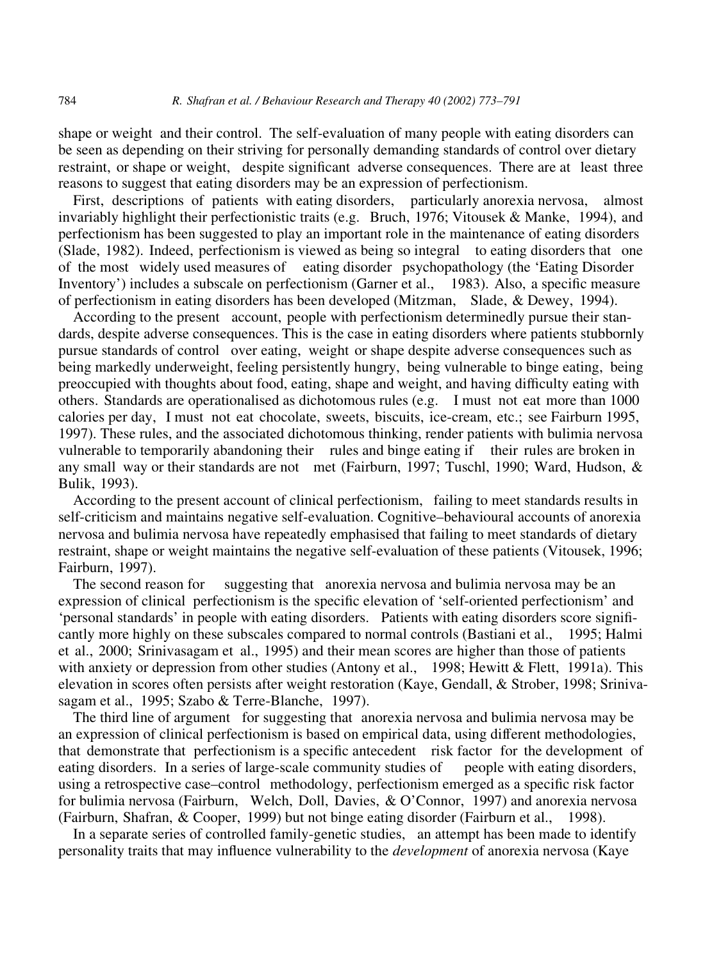shape or weight and their control. The self-evaluation of many people with eating disorders can be seen as depending on their striving for personally demanding standards of control over dietary restraint, or shape or weight, despite significant adverse consequences. There are at least three reasons to suggest that eating disorders may be an expression of perfectionism.

First, descriptions of patients with eating disorders, particularly anorexia nervosa, almost invariably highlight their perfectionistic traits (e.g. Bruch, 1976; Vitousek & Manke, 1994), and perfectionism has been suggested to play an important role in the maintenance of eating disorders (Slade, 1982). Indeed, perfectionism is viewed as being so integral to eating disorders that one of the most widely used measures of eating disorder psychopathology (the 'Eating Disorder Inventory') includes a subscale on perfectionism (Garner et al., 1983). Also, a specific measure of perfectionism in eating disorders has been developed (Mitzman, Slade, & Dewey, 1994).

According to the present account, people with perfectionism determinedly pursue their standards, despite adverse consequences. This is the case in eating disorders where patients stubbornly pursue standards of control over eating, weight or shape despite adverse consequences such as being markedly underweight, feeling persistently hungry, being vulnerable to binge eating, being preoccupied with thoughts about food, eating, shape and weight, and having difficulty eating with others. Standards are operationalised as dichotomous rules (e.g. I must not eat more than 1000 calories per day, I must not eat chocolate, sweets, biscuits, ice-cream, etc.; see Fairburn 1995, 1997). These rules, and the associated dichotomous thinking, render patients with bulimia nervosa vulnerable to temporarily abandoning their rules and binge eating if their rules are broken in any small way or their standards are not met (Fairburn, 1997; Tuschl, 1990; Ward, Hudson, & Bulik, 1993).

According to the present account of clinical perfectionism, failing to meet standards results in self-criticism and maintains negative self-evaluation. Cognitive–behavioural accounts of anorexia nervosa and bulimia nervosa have repeatedly emphasised that failing to meet standards of dietary restraint, shape or weight maintains the negative self-evaluation of these patients (Vitousek, 1996; Fairburn, 1997).<br>The second reason for

suggesting that anorexia nervosa and bulimia nervosa may be an expression of clinical perfectionism is the specific elevation of 'self-oriented perfectionism' and 'personal standards' in people with eating disorders. Patients with eating disorders score significantly more highly on these subscales compared to normal controls (Bastiani et al., 1995; Halmi et al., 2000; Srinivasagam et al., 1995) and their mean scores are higher than those of patients with anxiety or depression from other studies (Antony et al., 1998; Hewitt & Flett, 1991a). This elevation in scores often persists after weight restoration (Kaye, Gendall, & Strober, 1998; Srinivasagam et al., 1995; Szabo & Terre-Blanche, 1997).

The third line of argument for suggesting that anorexia nervosa and bulimia nervosa may be an expression of clinical perfectionism is based on empirical data, using different methodologies, that demonstrate that perfectionism is a specific antecedent risk factor for the development of eating disorders. In a series of large-scale community studies of people with eating disorders. eating disorders. In a series of large-scale community studies of using a retrospective case–control methodology, perfectionism emerged as a specific risk factor for bulimia nervosa (Fairburn, Welch, Doll, Davies, & O'Connor, 1997) and anorexia nervosa (Fairburn, Shafran, & Cooper, 1999) but not binge eating disorder (Fairburn et al., 1998).

In a separate series of controlled family-genetic studies, an attempt has been made to identify personality traits that may influence vulnerability to the *development* of anorexia nervosa (Kaye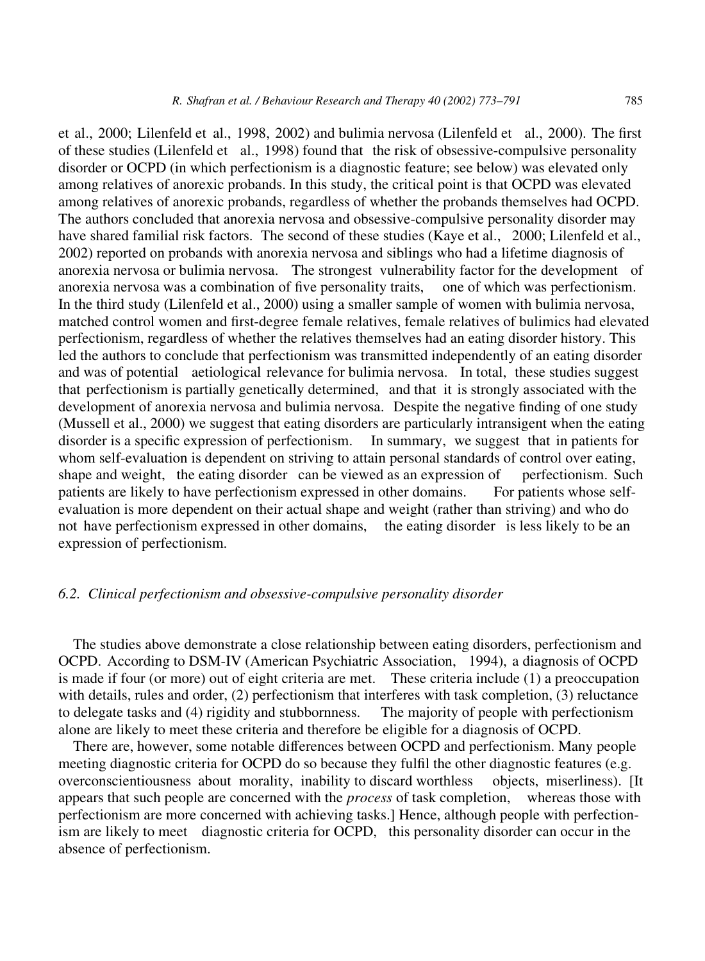et al., 2000; Lilenfeld et al., 1998, 2002) and bulimia nervosa (Lilenfeld et al., 2000). The first of these studies (Lilenfeld et al., 1998) found that the risk of obsessive-compulsive personality disorder or OCPD (in which perfectionism is a diagnostic feature; see below) was elevated only among relatives of anorexic probands. In this study, the critical point is that OCPD was elevated among relatives of anorexic probands, regardless of whether the probands themselves had OCPD. The authors concluded that anorexia nervosa and obsessive-compulsive personality disorder may have shared familial risk factors. The second of these studies (Kaye et al., 2000; Lilenfeld et al., 2002) reported on probands with anorexia nervosa and siblings who had a lifetime diagnosis of anorexia nervosa or bulimia nervosa. The strongest vulnerability factor for the development of anorexia nervosa was a combination of five personality traits, one of which was perfectionism. In the third study (Lilenfeld et al., 2000) using a smaller sample of women with bulimia nervosa, matched control women and first-degree female relatives, female relatives of bulimics had elevated perfectionism, regardless of whether the relatives themselves had an eating disorder history. This led the authors to conclude that perfectionism was transmitted independently of an eating disorder and was of potential aetiological relevance for bulimia nervosa. In total, these studies suggest that perfectionism is partially genetically determined, and that it is strongly associated with the development of anorexia nervosa and bulimia nervosa. Despite the negative finding of one study (Mussell et al., 2000) we suggest that eating disorders are particularly intransigent when the eating disorder is a specific expression of perfectionism. In summary, we suggest that in patients for whom self-evaluation is dependent on striving to attain personal standards of control over eating, shape and weight, the eating disorder can be viewed as an expression of perfectionism. Such patients are likely to have perfectionism expressed in other domains. For patients whose selfevaluation is more dependent on their actual shape and weight (rather than striving) and who do not have perfectionism expressed in other domains, the eating disorder is less likely to be an expression of perfectionism.

## *6.2. Clinical perfectionism and obsessive-compulsive personality disorder*

The studies above demonstrate a close relationship between eating disorders, perfectionism and OCPD. According to DSM-IV (American Psychiatric Association, 1994), a diagnosis of OCPD is made if four (or more) out of eight criteria are met. These criteria include (1) a preoccupation with details, rules and order, (2) perfectionism that interferes with task completion, (3) reluctance to delegate tasks and (4) rigidity and stubbornness. The majority of people with perfectionism alone are likely to meet these criteria and therefore be eligible for a diagnosis of OCPD.

There are, however, some notable differences between OCPD and perfectionism. Many people meeting diagnostic criteria for OCPD do so because they fulfil the other diagnostic features (e.g. overconscientiousness about morality, inability to discard worthless objects, miserliness). [It overconscientiousness about morality, inability to discard worthless appears that such people are concerned with the *process* of task completion, whereas those with perfectionism are more concerned with achieving tasks.] Hence, although people with perfectionism are likely to meet diagnostic criteria for OCPD, this personality disorder can occur in the absence of perfectionism.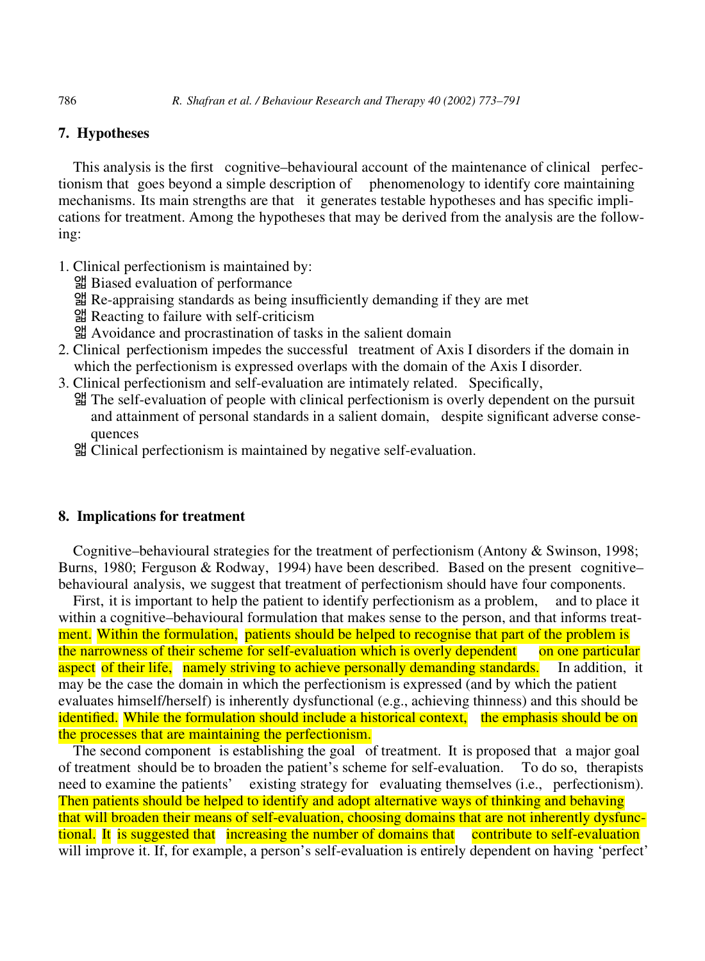# **7. Hypotheses**

This analysis is the first cognitive–behavioural account of the maintenance of clinical perfectionism that goes beyond a simple description of phenomenology to identify core maintaining mechanisms. Its main strengths are that it generates testable hypotheses and has specific implications for treatment. Among the hypotheses that may be derived from the analysis are the following:

- 1. Clinical perfectionism is maintained by:
	- 앫 Biased evaluation of performance
	- 앫 Re-appraising standards as being insufficiently demanding if they are met
	- 앫 Reacting to failure with self-criticism
	- 앫 Avoidance and procrastination of tasks in the salient domain
- 2. Clinical perfectionism impedes the successful treatment of Axis I disorders if the domain in which the perfectionism is expressed overlaps with the domain of the Axis I disorder.
- 3. Clinical perfectionism and self-evaluation are intimately related. Specifically,
	- 앫 The self-evaluation of people with clinical perfectionism is overly dependent on the pursuit and attainment of personal standards in a salient domain, despite significant adverse consequences
	- 앫 Clinical perfectionism is maintained by negative self-evaluation.

# **8. Implications for treatment**

Cognitive–behavioural strategies for the treatment of perfectionism (Antony & Swinson, 1998; Burns, 1980; Ferguson & Rodway, 1994) have been described. Based on the present cognitive– behavioural analysis, we suggest that treatment of perfectionism should have four components.

First, it is important to help the patient to identify perfectionism as a problem, and to place it within a cognitive–behavioural formulation that makes sense to the person, and that informs treatment. Within the formulation, patients should be helped to recognise that part of the problem is the narrowness of their scheme for self-evaluation which is overly dependent on one particular aspect of their life, namely striving to achieve personally demanding standards. In addition, it may be the case the domain in which the perfectionism is expressed (and by which the patient evaluates himself/herself) is inherently dysfunctional (e.g., achieving thinness) and this should be identified. While the formulation should include a historical context, the emphasis should be on the processes that are maintaining the perfectionism.

The second component is establishing the goal of treatment. It is proposed that a major goal treatment should be to broaden the patient's scheme for self-evaluation. To do so, therapists of treatment should be to broaden the patient's scheme for self-evaluation. need to examine the patients' existing strategy for evaluating themselves (i.e., perfectionism). Then patients should be helped to identify and adopt alternative ways of thinking and behaving that will broaden their means of self-evaluation, choosing domains that are not inherently dysfunctional. It is suggested that increasing the number of domains that contribute to self-evaluation will improve it. If, for example, a person's self-evaluation is entirely dependent on having 'perfect'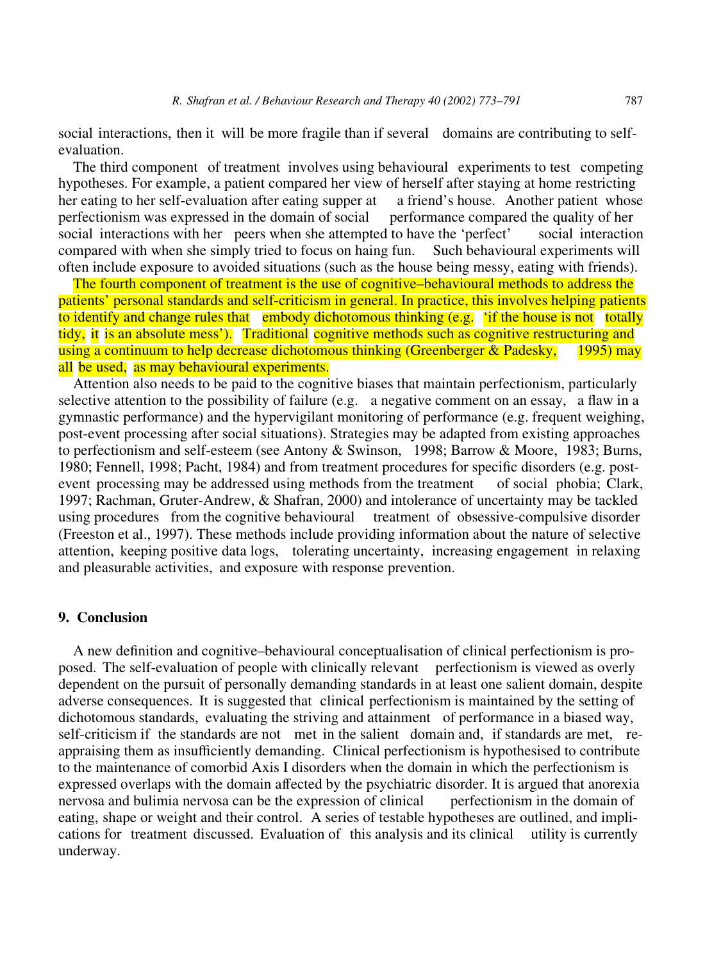social interactions, then it will be more fragile than if several domains are contributing to selfevaluation.

The third component of treatment involves using behavioural experiments to test competing hypotheses. For example, a patient compared her view of herself after staying at home restricting<br>her eating to her self-evaluation after eating supper at a friend's house. Another patient whose her eating to her self-evaluation after eating supper at perfectionism was expressed in the domain of social performance compared the quality of her social interactions with her peers when she attempted to have the 'perfect' social interaction compared with when she simply tried to focus on haing fun. Such behavioural experiments will compared with when she simply tried to focus on haing fun. often include exposure to avoided situations (such as the house being messy, eating with friends).

The fourth component of treatment is the use of cognitive–behavioural methods to address the patients' personal standards and self-criticism in general. In practice, this involves helping patients to identify and change rules that embody dichotomous thinking (e.g. 'if the house is not totally tidy, it is an absolute mess'). Traditional cognitive methods such as cognitive restructuring and using a continuum to help decrease dichotomous thinking (Greenberger & Padesky, 1995) may all be used, as may behavioural experiments.

Attention also needs to be paid to the cognitive biases that maintain perfectionism, particularly selective attention to the possibility of failure (e.g. a negative comment on an essay, a flaw in a gymnastic performance) and the hypervigilant monitoring of performance (e.g. frequent weighing, post-event processing after social situations). Strategies may be adapted from existing approaches to perfectionism and self-esteem (see Antony & Swinson, 1998; Barrow & Moore, 1983; Burns, 1980; Fennell, 1998; Pacht, 1984) and from treatment procedures for specific disorders (e.g. post-<br>event processing may be addressed using methods from the treatment of social phobia: Clark, event processing may be addressed using methods from the treatment 1997; Rachman, Gruter-Andrew, & Shafran, 2000) and intolerance of uncertainty may be tackled using procedures from the cognitive behavioural treatment of obsessive-compulsive disorder (Freeston et al., 1997). These methods include providing information about the nature of selective attention, keeping positive data logs, tolerating uncertainty, increasing engagement in relaxing and pleasurable activities, and exposure with response prevention.

## **9. Conclusion**

A new definition and cognitive–behavioural conceptualisation of clinical perfectionism is proposed. The self-evaluation of people with clinically relevant perfectionism is viewed as overly dependent on the pursuit of personally demanding standards in at least one salient domain, despite adverse consequences. It is suggested that clinical perfectionism is maintained by the setting of dichotomous standards, evaluating the striving and attainment of performance in a biased way, self-criticism if the standards are not met in the salient domain and, if standards are met, reappraising them as insufficiently demanding. Clinical perfectionism is hypothesised to contribute to the maintenance of comorbid Axis I disorders when the domain in which the perfectionism is expressed overlaps with the domain affected by the psychiatric disorder. It is argued that anorexia nervosa and bulimia nervosa can be the expression of clinical perfectionism in the domain of eating, shape or weight and their control. A series of testable hypotheses are outlined, and implications for treatment discussed. Evaluation of this analysis and its clinical utility is currently underway.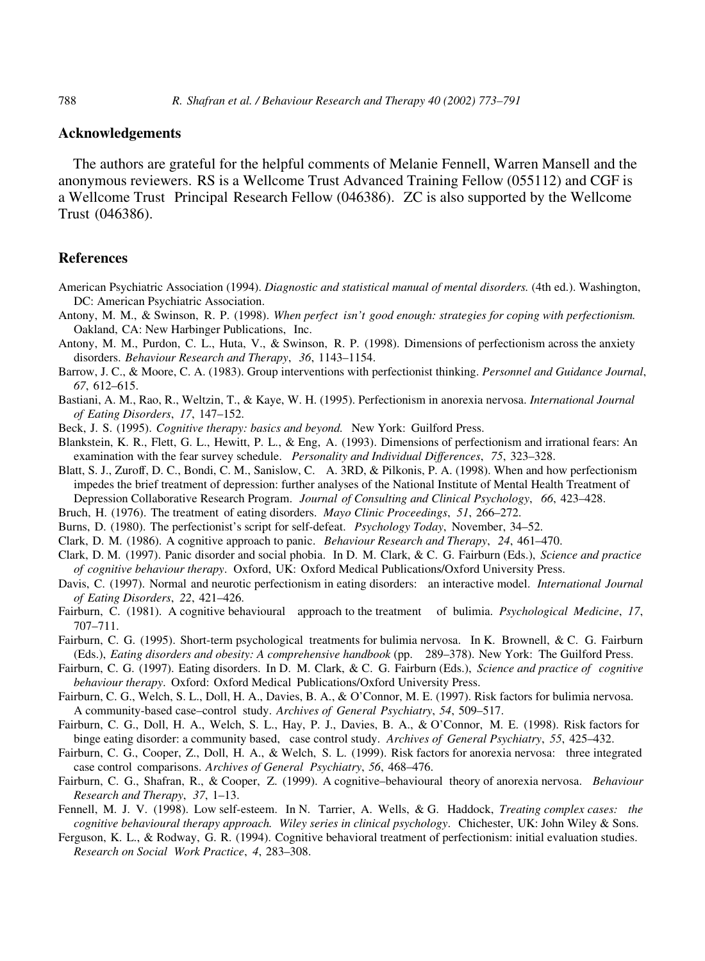#### **Acknowledgements**

The authors are grateful for the helpful comments of Melanie Fennell, Warren Mansell and the anonymous reviewers. RS is a Wellcome Trust Advanced Training Fellow (055112) and CGF is a Wellcome Trust Principal Research Fellow (046386). ZC is also supported by the Wellcome Trust (046386).

### **References**

- American Psychiatric Association (1994). *Diagnostic and statistical manual of mental disorders.* (4th ed.). Washington, DC: American Psychiatric Association.
- Antony, M. M., & Swinson, R. P. (1998). *When perfect isn't good enough: strategies for coping with perfectionism.* Oakland, CA: New Harbinger Publications, Inc.
- Antony, M. M., Purdon, C. L., Huta, V., & Swinson, R. P. (1998). Dimensions of perfectionism across the anxiety disorders. *Behaviour Research and Therapy*, *36*, 1143–1154.
- Barrow, J. C., & Moore, C. A. (1983). Group interventions with perfectionist thinking. *Personnel and Guidance Journal*, *67*, 612–615.
- Bastiani, A. M., Rao, R., Weltzin, T., & Kaye, W. H. (1995). Perfectionism in anorexia nervosa. *International Journal of Eating Disorders*, *17*, 147–152.
- Beck, J. S. (1995). *Cognitive therapy: basics and beyond.* New York: Guilford Press.
- Blankstein, K. R., Flett, G. L., Hewitt, P. L., & Eng, A. (1993). Dimensions of perfectionism and irrational fears: An examination with the fear survey schedule. *Personality and Individual Differences*, *75*, 323–328.
- Blatt, S. J., Zuroff, D. C., Bondi, C. M., Sanislow, C. A. 3RD, & Pilkonis, P. A. (1998). When and how perfectionism impedes the brief treatment of depression: further analyses of the National Institute of Mental Health Treatment of Depression Collaborative Research Program. *Journal of Consulting and Clinical Psychology*, *66*, 423–428.
- Bruch, H. (1976). The treatment of eating disorders. *Mayo Clinic Proceedings*, *51*, 266–272.
- Burns, D. (1980). The perfectionist's script for self-defeat. *Psychology Today*, November, 34–52.
- Clark, D. M. (1986). A cognitive approach to panic. *Behaviour Research and Therapy*, *24*, 461–470.
- Clark, D. M. (1997). Panic disorder and social phobia. In D. M. Clark, & C. G. Fairburn (Eds.), *Science and practice of cognitive behaviour therapy*. Oxford, UK: Oxford Medical Publications/Oxford University Press.
- Davis, C. (1997). Normal and neurotic perfectionism in eating disorders: an interactive model. *International Journal of Eating Disorders*, *22*, 421–426.
- Fairburn, C. (1981). A cognitive behavioural approach to the treatment of bulimia. *Psychological Medicine*, *17*, 707–711.
- Fairburn, C. G. (1995). Short-term psychological treatments for bulimia nervosa. In K. Brownell, & C. G. Fairburn (Eds.), *Eating disorders and obesity: A comprehensive handbook* (pp. 289–378). New York: The Guilford Press.
- Fairburn, C. G. (1997). Eating disorders. In D. M. Clark, & C. G. Fairburn (Eds.), *Science and practice of cognitive behaviour therapy*. Oxford: Oxford Medical Publications/Oxford University Press.
- Fairburn, C. G., Welch, S. L., Doll, H. A., Davies, B. A., & O'Connor, M. E. (1997). Risk factors for bulimia nervosa. A community-based case–control study. *Archives of General Psychiatry*, *54*, 509–517.
- Fairburn, C. G., Doll, H. A., Welch, S. L., Hay, P. J., Davies, B. A., & O'Connor, M. E. (1998). Risk factors for binge eating disorder: a community based, case control study. *Archives of General Psychiatry*, *55*, 425–432.
- Fairburn, C. G., Cooper, Z., Doll, H. A., & Welch, S. L. (1999). Risk factors for anorexia nervosa: three integrated case control comparisons. *Archives of General Psychiatry*, *56*, 468–476.
- Fairburn, C. G., Shafran, R., & Cooper, Z. (1999). A cognitive–behavioural theory of anorexia nervosa. *Behaviour Research and Therapy*, *37*, 1–13.
- Fennell, M. J. V. (1998). Low self-esteem. In N. Tarrier, A. Wells, & G. Haddock, *Treating complex cases: the cognitive behavioural therapy approach. Wiley series in clinical psychology*. Chichester, UK: John Wiley & Sons.
- Ferguson, K. L., & Rodway, G. R. (1994). Cognitive behavioral treatment of perfectionism: initial evaluation studies. *Research on Social Work Practice*, *4*, 283–308.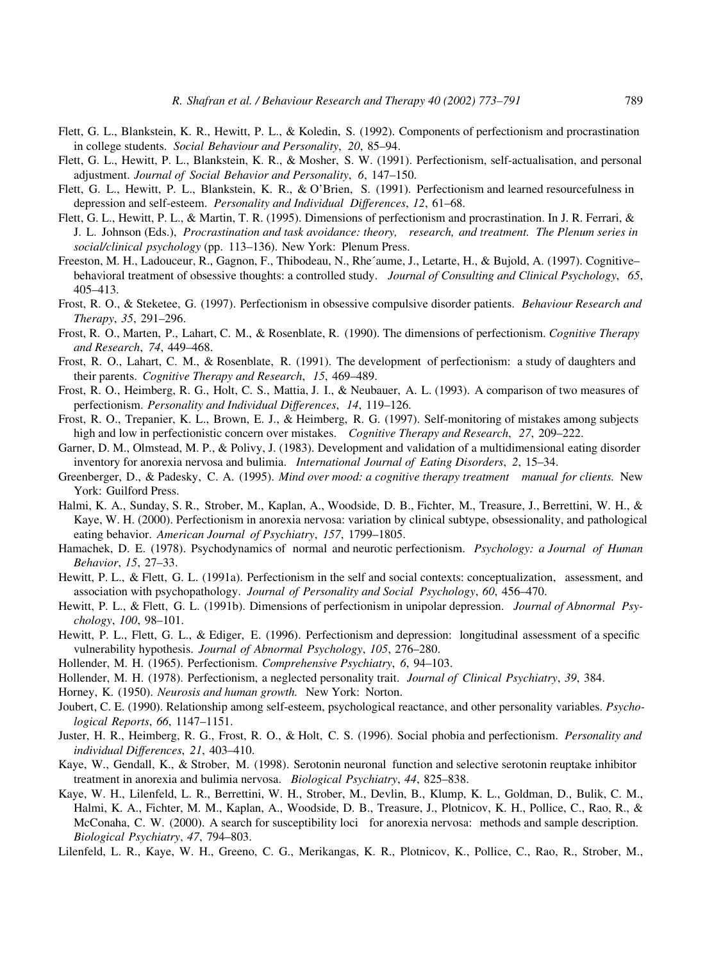- Flett, G. L., Blankstein, K. R., Hewitt, P. L., & Koledin, S. (1992). Components of perfectionism and procrastination in college students. *Social Behaviour and Personality*, *20*, 85–94.
- Flett, G. L., Hewitt, P. L., Blankstein, K. R., & Mosher, S. W. (1991). Perfectionism, self-actualisation, and personal adjustment. *Journal of Social Behavior and Personality*, *6*, 147–150.
- Flett, G. L., Hewitt, P. L., Blankstein, K. R., & O'Brien, S. (1991). Perfectionism and learned resourcefulness in depression and self-esteem. *Personality and Individual Differences*, *12*, 61–68.
- Flett, G. L., Hewitt, P. L., & Martin, T. R. (1995). Dimensions of perfectionism and procrastination. In J. R. Ferrari, & J. L. Johnson (Eds.), *Procrastination and task avoidance: theory, research, and treatment. The Plenum series in social/clinical psychology* (pp. 113–136). New York: Plenum Press.
- Freeston, M. H., Ladouceur, R., Gagnon, F., Thibodeau, N., Rhe´aume, J., Letarte, H., & Bujold, A. (1997). Cognitive– behavioral treatment of obsessive thoughts: a controlled study. *Journal of Consulting and Clinical Psychology*, *65*, 405–413.
- Frost, R. O., & Steketee, G. (1997). Perfectionism in obsessive compulsive disorder patients. *Behaviour Research and Therapy*, *35*, 291–296.
- Frost, R. O., Marten, P., Lahart, C. M., & Rosenblate, R. (1990). The dimensions of perfectionism. *Cognitive Therapy and Research*, *74*, 449–468.
- Frost, R. O., Lahart, C. M., & Rosenblate, R. (1991). The development of perfectionism: a study of daughters and their parents. *Cognitive Therapy and Research*, *15*, 469–489.
- Frost, R. O., Heimberg, R. G., Holt, C. S., Mattia, J. I., & Neubauer, A. L. (1993). A comparison of two measures of perfectionism. *Personality and Individual Differences*, *14*, 119–126.
- Frost, R. O., Trepanier, K. L., Brown, E. J., & Heimberg, R. G. (1997). Self-monitoring of mistakes among subjects high and low in perfectionistic concern over mistakes. *Cognitive Therapy and Research*, *27*, 209–222.
- Garner, D. M., Olmstead, M. P., & Polivy, J. (1983). Development and validation of a multidimensional eating disorder inventory for anorexia nervosa and bulimia. *International Journal of Eating Disorders*, *2*, 15–34.
- Greenberger, D., & Padesky, C. A. (1995). *Mind over mood: a cognitive therapy treatment manual for clients.* New York: Guilford Press.
- Halmi, K. A., Sunday, S. R., Strober, M., Kaplan, A., Woodside, D. B., Fichter, M., Treasure, J., Berrettini, W. H., & Kaye, W. H. (2000). Perfectionism in anorexia nervosa: variation by clinical subtype, obsessionality, and pathological eating behavior. *American Journal of Psychiatry*, *157*, 1799–1805.
- Hamachek, D. E. (1978). Psychodynamics of normal and neurotic perfectionism. *Psychology: a Journal of Human Behavior*, *15*, 27–33.
- Hewitt, P. L., & Flett, G. L. (1991a). Perfectionism in the self and social contexts: conceptualization, assessment, and association with psychopathology. *Journal of Personality and Social Psychology*, *60*, 456–470.
- Hewitt, P. L., & Flett, G. L. (1991b). Dimensions of perfectionism in unipolar depression. *Journal of Abnormal Psychology*, *100*, 98–101.
- Hewitt, P. L., Flett, G. L., & Ediger, E. (1996). Perfectionism and depression: longitudinal assessment of a specific vulnerability hypothesis. *Journal of Abnormal Psychology*, *105*, 276–280.
- Hollender, M. H. (1965). Perfectionism. *Comprehensive Psychiatry*, *6*, 94–103.
- Hollender, M. H. (1978). Perfectionism, a neglected personality trait. *Journal of Clinical Psychiatry*, *39*, 384.
- Horney, K. (1950). *Neurosis and human growth.* New York: Norton.
- Joubert, C. E. (1990). Relationship among self-esteem, psychological reactance, and other personality variables. *Psychological Reports*, *66*, 1147–1151.
- Juster, H. R., Heimberg, R. G., Frost, R. O., & Holt, C. S. (1996). Social phobia and perfectionism. *Personality and individual Differences*, *21*, 403–410.
- Kaye, W., Gendall, K., & Strober, M. (1998). Serotonin neuronal function and selective serotonin reuptake inhibitor treatment in anorexia and bulimia nervosa. *Biological Psychiatry*, *44*, 825–838.
- Kaye, W. H., Lilenfeld, L. R., Berrettini, W. H., Strober, M., Devlin, B., Klump, K. L., Goldman, D., Bulik, C. M., Halmi, K. A., Fichter, M. M., Kaplan, A., Woodside, D. B., Treasure, J., Plotnicov, K. H., Pollice, C., Rao, R., & McConaha, C. W. (2000). A search for susceptibility loci for anorexia nervosa: methods and sample description. *Biological Psychiatry*, *47*, 794–803.
- Lilenfeld, L. R., Kaye, W. H., Greeno, C. G., Merikangas, K. R., Plotnicov, K., Pollice, C., Rao, R., Strober, M.,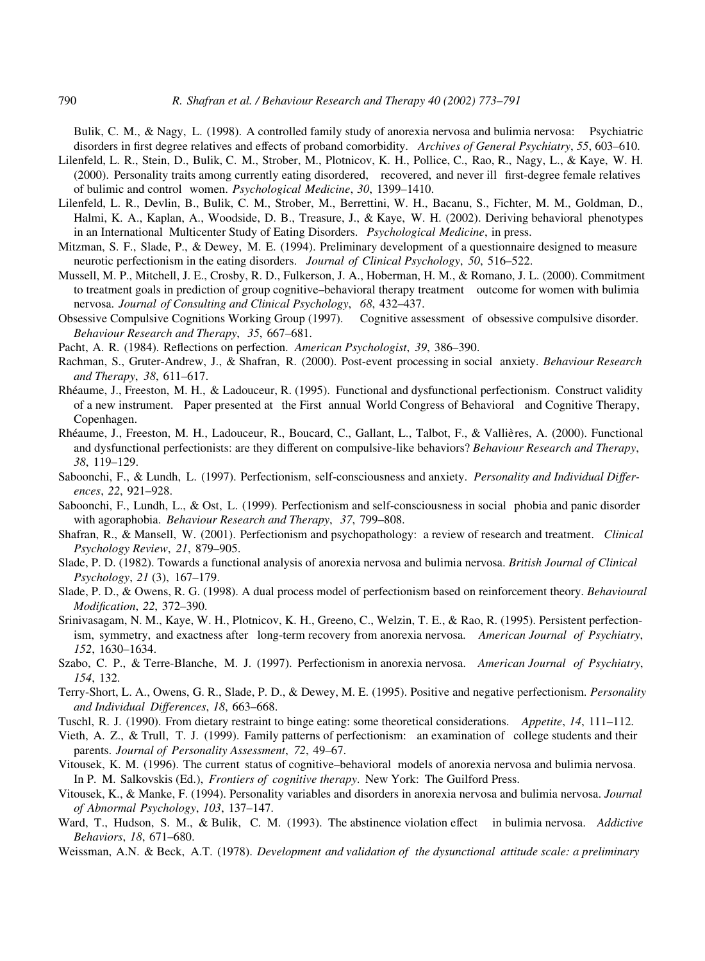Bulik, C. M., & Nagy, L. (1998). A controlled family study of anorexia nervosa and bulimia nervosa: Psychiatric disorders in first degree relatives and effects of proband comorbidity. *Archives of General Psychiatry*, *55*, 603–610.

- Lilenfeld, L. R., Stein, D., Bulik, C. M., Strober, M., Plotnicov, K. H., Pollice, C., Rao, R., Nagy, L., & Kaye, W. H. (2000). Personality traits among currently eating disordered, recovered, and never ill first-degree female relatives of bulimic and control women. *Psychological Medicine*, *30*, 1399–1410.
- Lilenfeld, L. R., Devlin, B., Bulik, C. M., Strober, M., Berrettini, W. H., Bacanu, S., Fichter, M. M., Goldman, D., Halmi, K. A., Kaplan, A., Woodside, D. B., Treasure, J., & Kaye, W. H. (2002). Deriving behavioral phenotypes in an International Multicenter Study of Eating Disorders. *Psychological Medicine*, in press.
- Mitzman, S. F., Slade, P., & Dewey, M. E. (1994). Preliminary development of a questionnaire designed to measure neurotic perfectionism in the eating disorders. *Journal of Clinical Psychology*, *50*, 516–522.
- Mussell, M. P., Mitchell, J. E., Crosby, R. D., Fulkerson, J. A., Hoberman, H. M., & Romano, J. L. (2000). Commitment to treatment goals in prediction of group cognitive–behavioral therapy treatment outcome for women with bulimia nervosa. *Journal of Consulting and Clinical Psychology*, *68*, 432–437.
- Obsessive Compulsive Cognitions Working Group (1997). *Behaviour Research and Therapy*, *35*, 667–681.
- Pacht, A. R. (1984). Reflections on perfection. *American Psychologist*, *39*, 386–390.
- Rachman, S., Gruter-Andrew, J., & Shafran, R. (2000). Post-event processing in social anxiety. *Behaviour Research and Therapy*, *38*, 611–617.
- Rhe´aume, J., Freeston, M. H., & Ladouceur, R. (1995). Functional and dysfunctional perfectionism. Construct validity of a new instrument. Paper presented at the First annual World Congress of Behavioral and Cognitive Therapy, Copenhagen.
- Rhéaume, J., Freeston, M. H., Ladouceur, R., Boucard, C., Gallant, L., Talbot, F., & Vallières, A. (2000). Functional and dysfunctional perfectionists: are they different on compulsive-like behaviors? *Behaviour Research and Therapy*, *38*, 119–129.
- Saboonchi, F., & Lundh, L. (1997). Perfectionism, self-consciousness and anxiety. *Personality and Individual Differences*, *22*, 921–928.
- Saboonchi, F., Lundh, L., & Ost, L. (1999). Perfectionism and self-consciousness in social phobia and panic disorder with agoraphobia. *Behaviour Research and Therapy*, *37*, 799–808.
- Shafran, R., & Mansell, W. (2001). Perfectionism and psychopathology: a review of research and treatment. *Clinical Psychology Review*, *21*, 879–905.
- Slade, P. D. (1982). Towards a functional analysis of anorexia nervosa and bulimia nervosa. *British Journal of Clinical Psychology*, *21* (3), 167–179.
- Slade, P. D., & Owens, R. G. (1998). A dual process model of perfectionism based on reinforcement theory. *Behavioural Modification*, *22*, 372–390.
- Srinivasagam, N. M., Kaye, W. H., Plotnicov, K. H., Greeno, C., Welzin, T. E., & Rao, R. (1995). Persistent perfectionism, symmetry, and exactness after long-term recovery from anorexia nervosa. *American Journal of Psychiatry*, *152*, 1630–1634.
- Szabo, C. P., & Terre-Blanche, M. J. (1997). Perfectionism in anorexia nervosa. *American Journal of Psychiatry*, *154*, 132.
- Terry-Short, L. A., Owens, G. R., Slade, P. D., & Dewey, M. E. (1995). Positive and negative perfectionism. *Personality and Individual Differences*, *18*, 663–668.
- Tuschl, R. J. (1990). From dietary restraint to binge eating: some theoretical considerations. *Appetite*, *14*, 111–112.
- Vieth, A. Z., & Trull, T. J. (1999). Family patterns of perfectionism: an examination of college students and their parents. *Journal of Personality Assessment*, *72*, 49–67.
- Vitousek, K. M. (1996). The current status of cognitive–behavioral models of anorexia nervosa and bulimia nervosa. In P. M. Salkovskis (Ed.), *Frontiers of cognitive therapy*. New York: The Guilford Press.
- Vitousek, K., & Manke, F. (1994). Personality variables and disorders in anorexia nervosa and bulimia nervosa. *Journal of Abnormal Psychology*, *103*, 137–147.
- Ward, T., Hudson, S. M., & Bulik, C. M. (1993). The abstinence violation effect in bulimia nervosa. *Addictive Behaviors*, *18*, 671–680.
- Weissman, A.N. & Beck, A.T. (1978). *Development and validation of the dysunctional attitude scale: a preliminary*